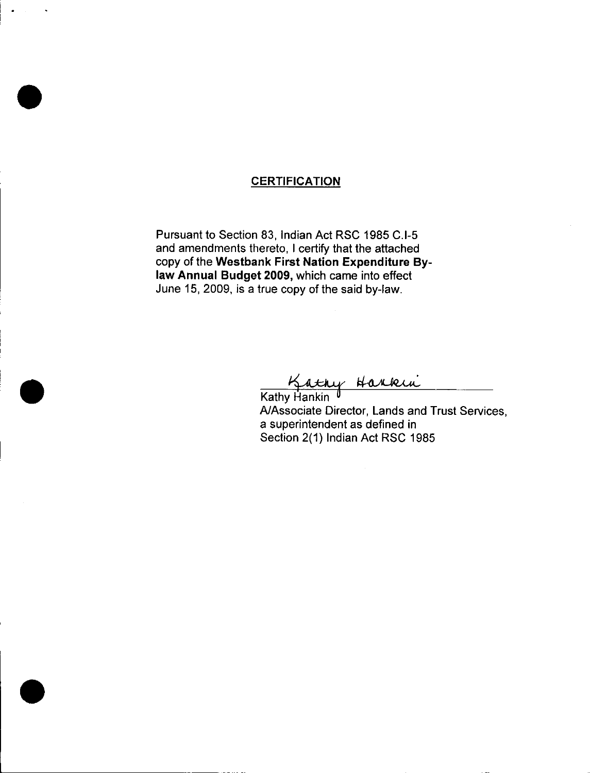# **CERTIFICATION**

Pursuant to Section 83, Indian Act RSC 1985 C.I-5 and amendments thereto, I certify that the attached copy of the Westbank First Nation Expenditure Bylaw Annual Budget 2009, which came into effect June 15, 2009, is a true copy of the said by -law.

Kathy Harkin

A/Associate Director, Lands and Trust Services, a superintendent as defined in Section 2(1) Indian Act RSC 1985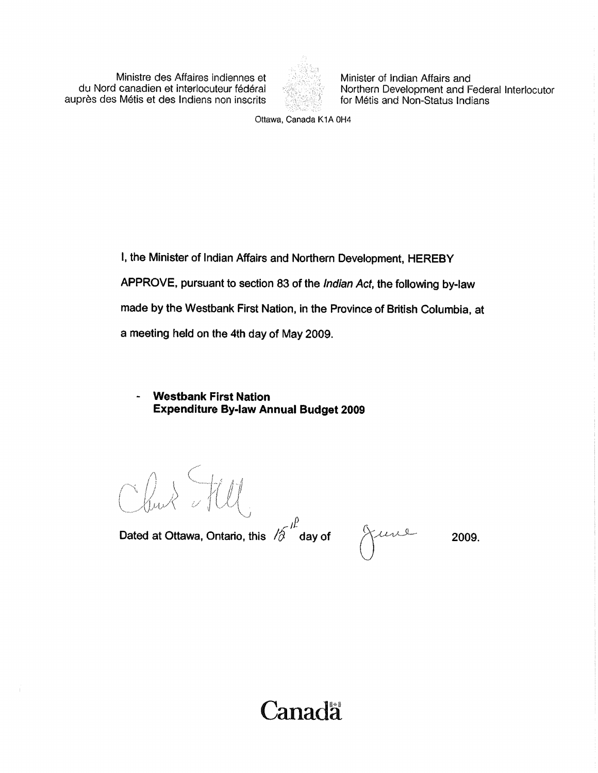inistre des Affaires indiennes et Minister of Indian Affairs and<br>du Nord canadien et interlocuteur fédéral Morthern Development and F auprès des Métis et des Indiens non inscrits



Northern Development and Federal Interlocutor<br>for Métis and Non-Status Indians

Ottawa, Canada K1A 0H4

1, the Minister of Indian Affairs and Northern Development, HEREBY APPROVE, pursuant to section 83 of the Indian Act, the following by-law made by the westbank First Nation, in the province of British Columbia, at a meeting held on the 4th day of May 2009.

**Westbank First Nation Expenditure By-law Annual Budget 2009** 

f Jdr•  $\mathcal{U}_\alpha$  ,  $\mathcal{R}_\alpha$  ,  $\mathcal{U}^\alpha$ 

rjP Dated at Ottawa, Ontario, this  $\left|\hat{\phi}\right\rangle$  day of  $\left|\left|\right\rangle\right\rangle$ 

2009.

**Canada**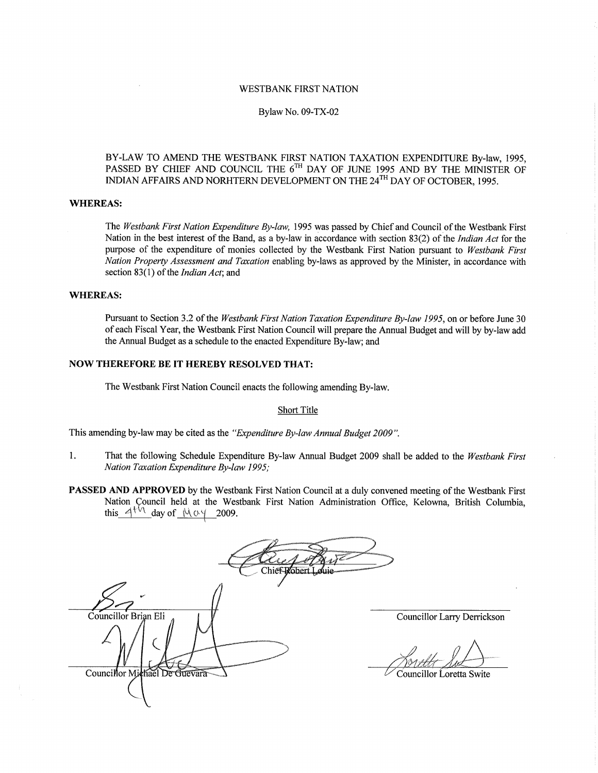#### WESTBANK FIRST NATION

#### Bylaw No. 09 -TX -02

#### BY-LAW TO AMEND THE WESTBANK FIRST NATION TAXATION EXPENDITURE By-law, 1995, PASSED BY CHIEF AND COUNCIL THE 6<sup>th</sup> DAY OF JUNE 1995 AND BY THE MINISTER OF INDIAN AFFAIRS AND NORHTERN DEVELOPMENT ON THE 24<sup>TH</sup> DAY OF OCTOBER, 1995.

#### WHEREAS:

The Westbank First Nation Expenditure By-law, 1995 was passed by Chief and Council of the Westbank First Nation in the best interest of the Band, as a by-law in accordance with section 83(2) of the *Indian Act* for the purpose of the expenditure of monies collected by the Westbank First Nation pursuant to Westbank First Nation Property Assessment and Taxation enabling by-laws as approved by the Minister, in accordance with section 83(1) of the *Indian Act*; and

#### WHEREAS:

Pursuant to Section 3.2 of the Westbank First Nation Taxation Expenditure By -law 1995, on or before June 30 of each Fiscal Year, the Westbank First Nation Council will prepare the Annual Budget and will by by -law add the Annual Budget as <sup>a</sup> schedule to the enacted Expenditure By -law; and

### NOW THEREFORE BE IT HEREBY RESOLVED THAT:

The Westbank First Nation Council enacts the following amending By -law.

#### Short Title

This amending by-law may be cited as the "Expenditure By-law Annual Budget 2009".

- 1. That the following Schedule Expenditure By-law Annual Budget 2009 shall be added to the Westbank First Nation Taxation Expenditure By-law 1995;
- PASSED AND APPROVED by the Westbank First Nation Council at a duly convened meeting of the Westbank First Nation Council held at the Westbank First Nation Administration Office, Kelowna, British Columbia, this  $4^{4}$ <sup>1</sup> day of  $M_0$  2009.

Robert. Chief Councillor Brian Eli Councillor Michael De Guevara

Councillor Larry Derrickson

Councillor Loretta Swite